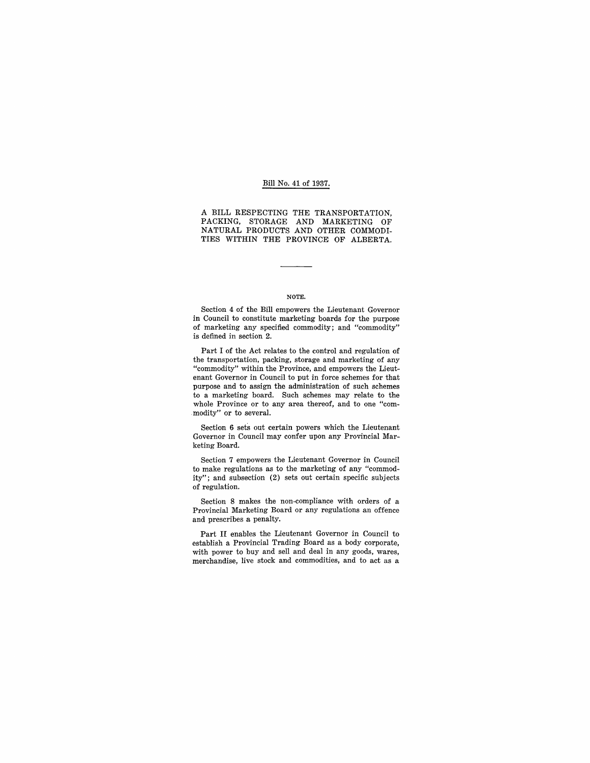#### Bill No. 41 of 1937.

A BILL RESPECTING THE TRANSPORTATION, PACKING, STORAGE AND MARKETING OF NATURAL PRODUCTS AND OTHER COMMODI-TIES WITHIN THE PROVINCE OF ALBERTA.

#### NOTE.

Section 4 of the Bill empowers the Lieutenant Governor in Council to constitute marketing boards for the purpose of marketing any specified commodity; and "commodity" is defined in section 2.

Part I of the Act relates to the control and regulation of the transportation, packing, storage and marketing of any "commodity" within the Province, and empowers the Lieutenant Governor in Council to put in force schemes for that purpose and to assign the administration of such schemes to a marketing board. Such schemes may relate to the whole Province or to any area thereof, and to one "com- .modity" or to several.

Section 6 sets out certain powers which the Lieutenant Governor in Council may confer upon any Provincial Marketing Board.

Section 7 empowers the Lieutenant Governor in Council to make regulations as to the marketing of any "commodity"; and subsection (2) sets out certain specific subjects of regulation.

Section 8 makes the non-compliance with orders of a Provincial Marketing Board or any regulations an offence and prescribes a penalty.

Part II enables the Lieutenant Governor in Council to establish a Provincial Trading Board as a body corporate, with power to buy and sell and deal in any goods, wares, merchandise, live stock and commodities, and to act as a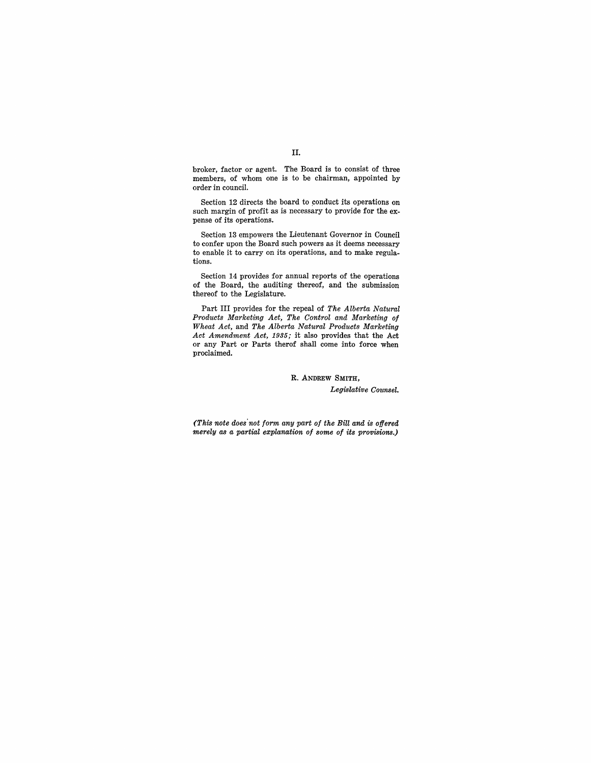broker, factor or agent. The Board is to consist of three members, of whom one is to be chairman, appointed by order in council.

Section 12 directs the board to conduct its operations on such margin of profit as is necessary to provide for the expense of its operations.

Section 13 empowers the Lieutenant Governor in Council to confer upon the Board such powers as it deems necessary to enable it to carry on its operations, and to make regulations.

Section 14 provides for annual reports of the operations of the Board, the auditing thereof, and the submission thereof to the Legislature.

Part III provides for the repeal of *The Alberta Natural Products Marketing Act, The Control and Marketing of Wheat Act,* and *The Alberta Natural Products Marketing Act Amendment Act,* 1935; it also provides that the Act or any Part or Parts therof shall come into force when proclaimed.

> R. ANDREW SMITH, *Legislative Counsel.*

*(This note does'not form any part of the Bill and is offered merely as a partial explanation of some of its provisions.)* 

### II.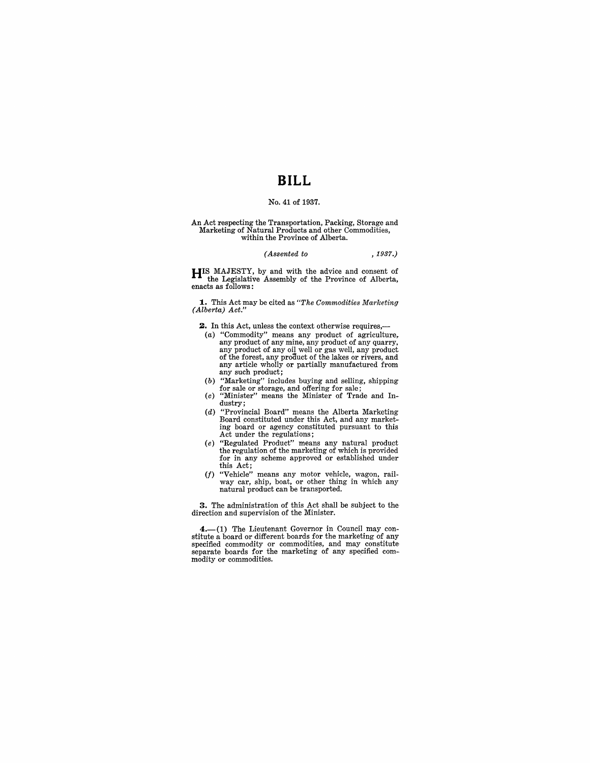# **BILL**

# No. 41 of 1937.

# An Act respecting the Transportation, Packing, Storage and Marketing of Natural Products and other Commodities, within the Province of Alberta.

| (Assented to | , 1937.) |
|--------------|----------|
|--------------|----------|

HIS MAJESTY, by and with the advice and consent of the Legislative Assembly of the Province of Alberta, enacts as follows:

1.. This Act may be cited as *"The Commodities Marketing (Alberta) Act."* 

2. In this Act, unless the context otherwise requires,-

- (a) "Commodity" means any product of agriculture,<br>any product of any mine, any product of any quarry,<br>any product of any oil well or gas well, any product<br>of the forest, any product of the lakes or rivers, and<br>any article any such product;
- (b) "Marketing" includes buying and selling, shipping
- for sale or storage, and offering for sale; (c) "Minister" means the Minister of Trade and Industry;
- (d) "Provincial Board" means the Alberta Marketing Board constituted under this Act, and any marketing board or agency constituted pursuant to this Act under the regulations;
- (e) "Regulated Product" means any natural product the regulation of the marketing of which is provided for in any scheme approved or established under this Act;
- *(I)* "Vehicle" means any motor vehicle, wagon, rail-way car, ship, boat, or other thing in which any natural product can be transported.

3. The administration of this Act shall be subject to the direction and supervision of the Minister.

4.-(1) The Lieutenant Governor in Council may constitute a board or different boards for the marketing of any specified commodity or commodities, and may constitute separate boards for the marketing of any specified commodity or commodities.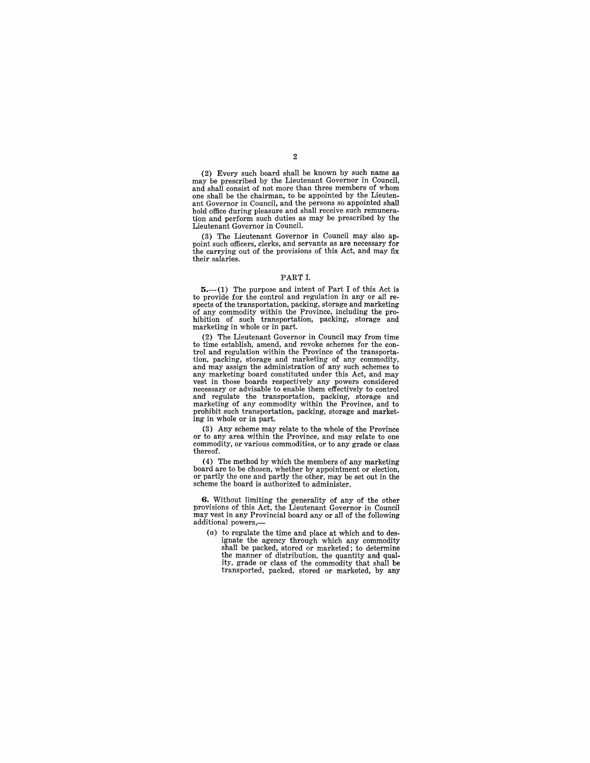(2) Every such board shall be known by such name as may be prescribed by the Lieutenant Governor in Council, one shall be the chairman, to be appointed by the Lieutenant Governor in Council, and the persons so appointed shall tion and perform such duties as may be prescribed by the Lieutenant Governor in Council.

(3) The Lieutenant Governor in Council may also appoint such officers, clerks, and servants as are necessary for the carrying out of the provisions of this Act, and may fix their salaries.

#### PART 1.

 $5-(1)$  The purpose and intent of Part I of this Act is to provide for the control and regulation in any or all re- spects of the transportation, packing, storage and marketing of any commodity within the Province, including the pro-hibition of such transportation, packing, storage and marketing in whole or in part.

(2) The Lieutenant Governor in Council may from time trol and regulation within the Province of the transportation, packing, storage and marketing of any commodity, and may assign the administration of any such schemes to any marketing board constituted under this Act, and may vest in those boards respectively any powers considered necessary or advisable to enable them effectively to control and regulate the transportation, packing, storage and marketing of any commodity within the Province, and to prohibit such transportation, packing, storage and marketing in whole or in part.

(3) Any scheme may relate to the whole of the Province or to any area within the Province, and may relate to one commodity, or various commodities, or to any grade or class thereof.

(4) The method by which the members of any marketing board are to be chosen, whether by appointment or election, or partly the one and partly the other, may be set out in the scheme the board is authorized to administer.

**6.** Without limiting the generality of any of the other provisions of this Act, the Lieutenant Governor in Council may vest in any Provincial board any or all of the following additional powers,-

(a) to regulate the time and place at which and to designate the agency through which any commodity shall be packed, stored or marketed; to determine the manner of distribution, the quantity and quality, grade or class of the commodity that shall be transported, packed, stored or marketed, by any

# 2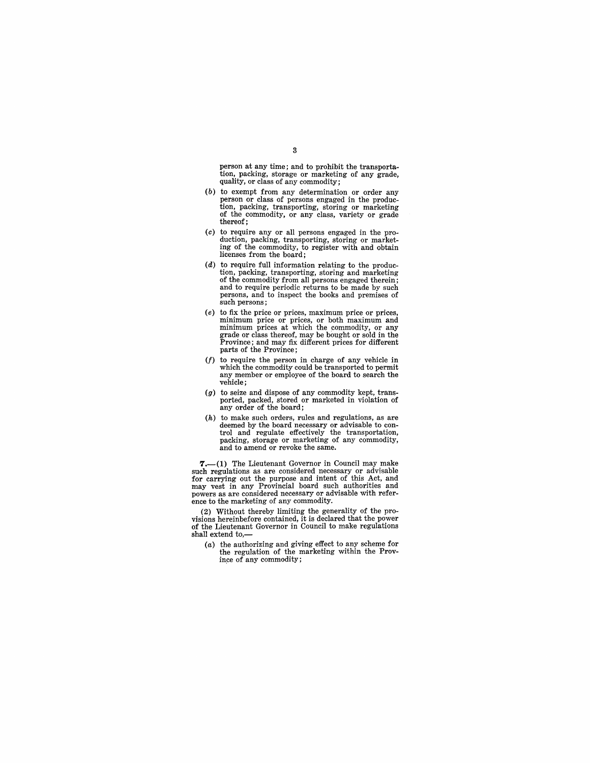person at any time; and to prohibit the transportation, packing, storage or marketing of any grade, quality, or class of any commodity;

- (b) to exempt from any determination or order any person or class of persons engaged in the produc-tion, packing, transporting, storing or marketing of the commodity, or any class, variety or grade thereof;
- (c) to require any or all persons engaged in the production, packing, transporting, storing or marketing of the commodity, to register with and obtain licenses from the board;
- $(d)$  to require full information relating to the production, packing, transporting, storing and marketing of the commodity from all persons engaged therein; and to require periodic returns to be made by such persons, and to inspect the books and premises of such persons;
- (e) to fix the price or prices, maximum price or prices, minimum prices at which the commodity, or any grade or class thereof, may be bought or sold in the Province; and may fix different prices for different parts of the Province;
- *(I)* to require the person in charge of any vehicle in which the commodity could be transported to permit any member or employee of the board to search the vehicle;
- $(g)$  to seize and dispose of any commodity kept, transported, packed, stored or marketed in violation of any order of the board;
- $(h)$  to make such orders, rules and regulations, as are deemed by the board necessary or advisable to control and regulate effectively the transportation, packing, storage or marketing of any commodity, and to amend or revoke the same.

 $7,-(1)$  The Lieutenant Governor in Council may make such regulations as are considered necessary or advisable for carrying out the purpose and intent of this Act, and may vest in any Provincial board such authorities and powers as are considered necessary or advisable with refer- ence to the marketing of any commodity.

(2) Without thereby limiting the generality of the pro-visions hereinbefore contained, it is declared that the power of the Lieutenant Governor in Council to make regulations shall extend to,-

(a) the authorizing and giving effect to any scheme for the regulation of the marketing within the Prov ince of any commodity;

## 3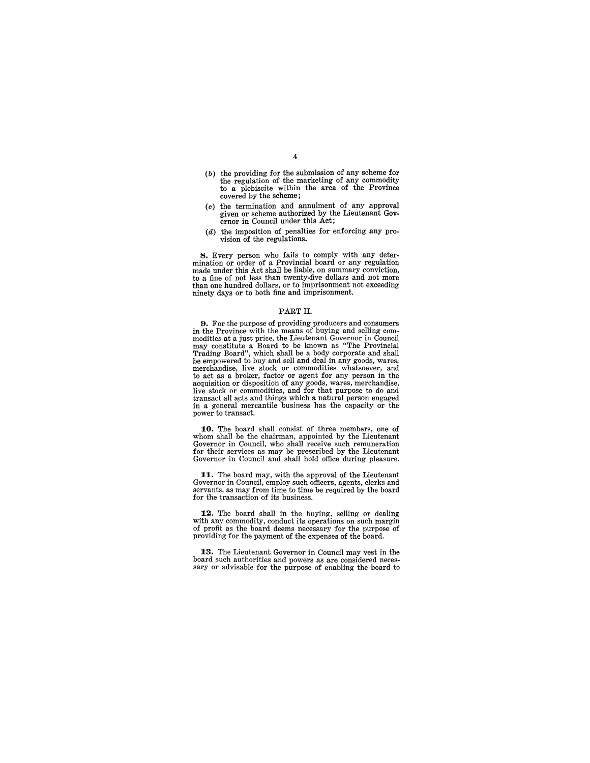- (b) the providing for the submission of any scheme for the regulation of the marketing of any commodity to a plebiscite within the area of the Province covered by the scheme;
- (c) the termination and annulment of any approval given or scheme authorized by the Lieutenant Gov- ernor in Council under this Act;
- (d) the imposition of penalties for enforcing any provision of the regulations.

8. Every person who fails to comply with any determination or order of a Provincial board or any regulation made under this Act shall be liable, on summary conviction, to a fine of not less than twenty-five dollars and not more than one hundred dollars, or to imprisonment not exceeding ninety days or to both fine and imprisonment.

#### PART II.

9. For the purpose of providing producers and consumers in the Province with the means of buying and selling commay constitute a Board to be known as "The Provincial Trading Board", which shall be a body corporate and shall be empowered to buy and sell and deal in any goods, wares, merchandise, live stock or commodities whatsoever, and to act as a broker, factor or agent for any person in the acquisition or disposition of any goods, wares, merchandise, live stock or commodities, and for that purpose to do and transact all acts and things which a natural person engaged in a general mercantile business has the capacity or the power to transact.

10. The board shall consist of three members, one of whom shall be the chairman, appointed by the Lieutenant Governor in Council, who shall receive such remuneration for their services as may be prescribed by the Lieutenant Governor in Council and shall hold office during pleasure.

11. The board may, with the approval of the Lieutenant Governor in Council, employ such officers, agents, clerks and servants, as may from time to time be required by the board for the transaction of its business.

12. The board shall in the buying, selling or dealing with any commodity, conduct its operations on such margin of profit as the board deems necessary for the purpose of providing for the payment of the expenses of the board.

13. The Lieutenant Governor in Council may vest in the board such authorities and powers as are considered necessary or advisable for the purpose of enabling the board to

4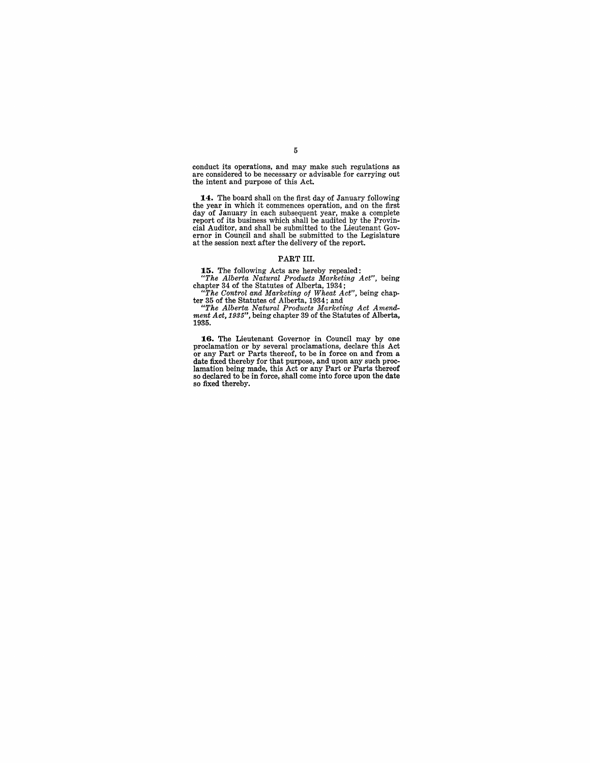conduct its operations, and may make such regulations as are considered to be necessary or advisable for carrying out the intent and purpose of this Act.

**1.4.** The board shall on the first day of January following the year in which it commences operation, and on the first day of January in each subsequent year, make a complete report of its business which shall be audited by the Provincial Auditor, and shall be submitted to the Lieutenant Governor in Council and shall be submitted to the Legislature at the session next after the delivery of the

#### PART **III.**

**1.5.** The following Acts are hereby repealed: *"The Alberta Natural Products Marketing Act",* being

chapter 34 of the Statutes of Alberta, 1934;<br>
"The Control and Marketing of Wheat Act", being chap-<br>
ter 35 of the Statutes of Alberta, 1934; and<br>
"The Alberta Natural Products Marketing Act Amend-<br>
ment Act, 1935", being 1935.

16. The Lieutenant Governor in Council may by one proclamation or by several proclamations, declare this Act or any Part or Parts thereof, to be in force on and from a date fixed thereby for that purpose, and upon any such lamation being made, this Act or any Part or Parts thereof so declared to be in force, shall come into force upon the date so fixed thereby.